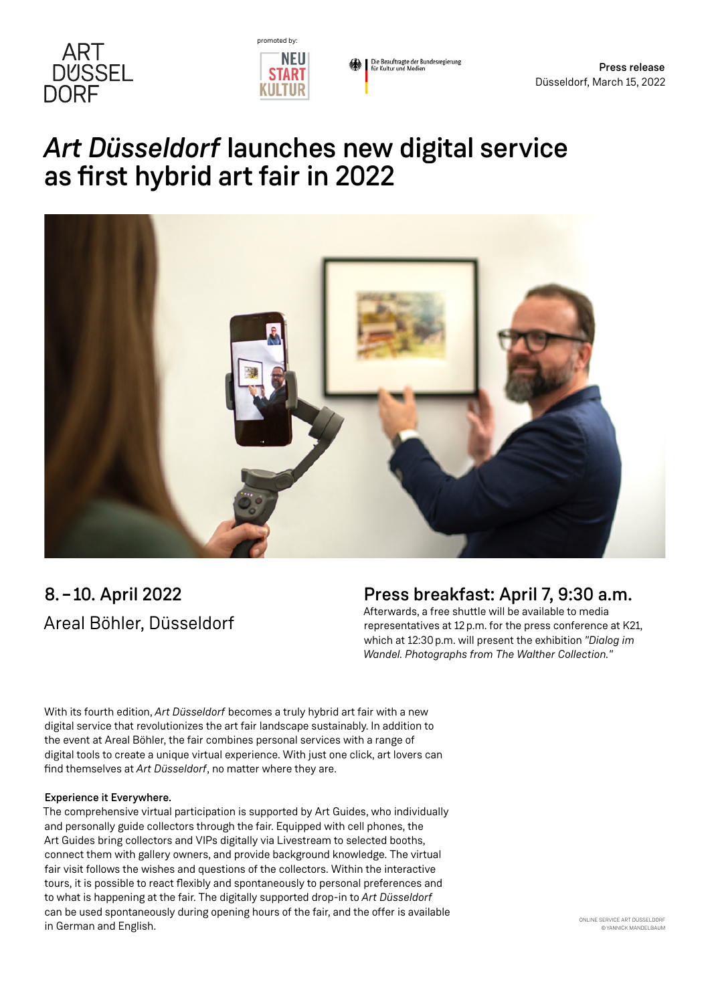



Die Beauftragte der Bundesregierung<br>für Kultur und Medien

# *Art Düsseldorf* launches new digital service as first hybrid art fair in 2022



## 8. –10. April 2022 Areal Böhler, Düsseldorf

### Press breakfast: April 7, 9:30 a.m.

Afterwards, a free shuttle will be available to media representatives at 12p.m. for the press conference at K21, which at 12:30p.m. will present the exhibition *"Dialog im Wandel. Photographs from The Walther Collection."*

With its fourth edition, *Art Düsseldorf* becomes a truly hybrid art fair with a new digital service that revolutionizes the art fair landscape sustainably. In addition to the event at Areal Böhler, the fair combines personal services with a range of digital tools to create a unique virtual experience. With just one click, art lovers can find themselves at *Art Düsseldorf*, no matter where they are.

#### Experience it Everywhere.

The comprehensive virtual participation is supported by Art Guides, who individually and personally guide collectors through the fair. Equipped with cell phones, the Art Guides bring collectors and VIPs digitally via Livestream to selected booths, connect them with gallery owners, and provide background knowledge. The virtual fair visit follows the wishes and questions of the collectors. Within the interactive tours, it is possible to react flexibly and spontaneously to personal preferences and to what is happening at the fair. The digitally supported drop-in to *Art Düsseldorf* can be used spontaneously during opening hours of the fair, and the offer is available in German and English.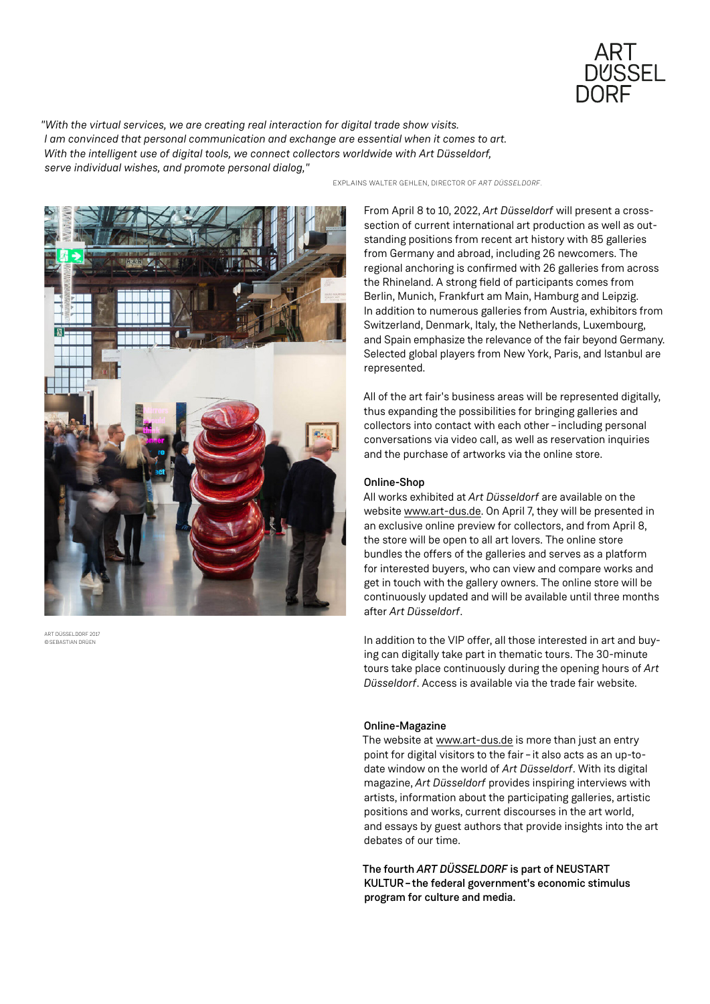

*"With the virtual services, we are creating real interaction for digital trade show visits. I am convinced that personal communication and exchange are essential when it comes to art. With the intelligent use of digital tools, we connect collectors worldwide with Art Düsseldorf, serve individual wishes, and promote personal dialog,"*



ART DÜSSELDORF 2017 ©SEBASTIAN DRÜEN

EXPLAINS WALTER GEHLEN, DIRECTOR OF *ART DÜSSELDORF*.

From April 8 to 10, 2022, *Art Düsseldorf* will present a crosssection of current international art production as well as outstanding positions from recent art history with 85 galleries from Germany and abroad, including 26 newcomers. The regional anchoring is confirmed with 26 galleries from across the Rhineland. A strong field of participants comes from Berlin, Munich, Frankfurt am Main, Hamburg and Leipzig. In addition to numerous galleries from Austria, exhibitors from Switzerland, Denmark, Italy, the Netherlands, Luxembourg, and Spain emphasize the relevance of the fair beyond Germany. Selected global players from New York, Paris, and Istanbul are represented.

All of the art fair's business areas will be represented digitally, thus expanding the possibilities for bringing galleries and collectors into contact with each other–including personal conversations via video call, as well as reservation inquiries and the purchase of artworks via the online store.

#### Online-Shop

All works exhibited at *Art Düsseldorf* are available on the website [www.art-dus.de](http://www.art-dus.de). On April 7, they will be presented in an exclusive online preview for collectors, and from April 8, the store will be open to all art lovers. The online store bundles the offers of the galleries and serves as a platform for interested buyers, who can view and compare works and get in touch with the gallery owners. The online store will be continuously updated and will be available until three months after *Art Düsseldorf*.

In addition to the VIP offer, all those interested in art and buying can digitally take part in thematic tours. The 30-minute tours take place continuously during the opening hours of *Art Düsseldorf*. Access is available via the trade fair website.

#### Online-Magazine

The website at [www.art-dus.de](http://www.art-dus.de) is more than just an entry point for digital visitors to the fair - it also acts as an up-todate window on the world of *Art Düsseldorf*. With its digital magazine, *Art Düsseldorf* provides inspiring interviews with artists, information about the participating galleries, artistic positions and works, current discourses in the art world, and essays by guest authors that provide insights into the art debates of our time.

The fourth *ART DÜSSELDORF* is part of NEUSTART KULTUR–the federal government's economic stimulus program for culture and media.